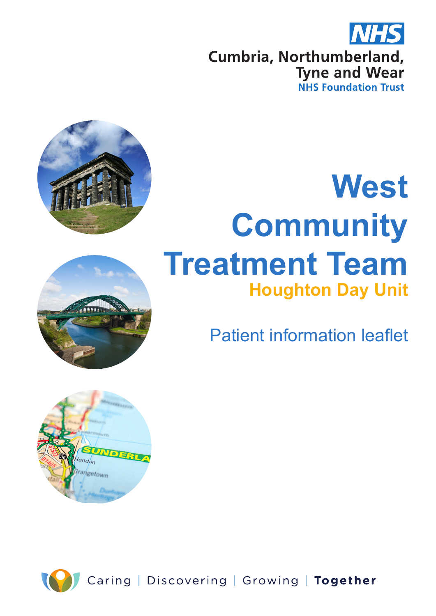





# **West Community Treatment Team Houghton Day Unit**

Patient information leaflet



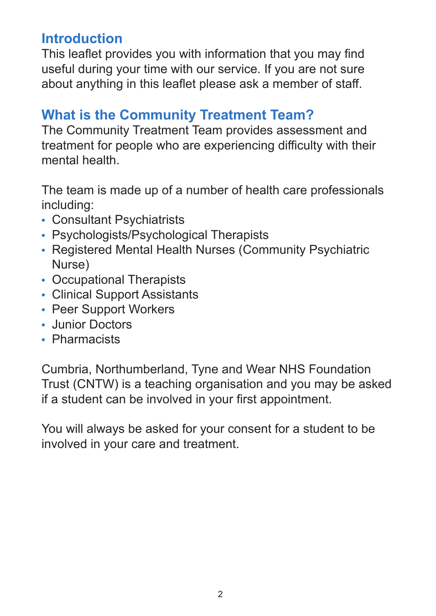# **Introduction**

This leaflet provides you with information that you may find useful during your time with our service. If you are not sure about anything in this leaflet please ask a member of staff.

## **What is the Community Treatment Team?**

The Community Treatment Team provides assessment and treatment for people who are experiencing difficulty with their mental health.

The team is made up of a number of health care professionals including:

- **•** Consultant Psychiatrists
- **•** Psychologists/Psychological Therapists
- **•** Registered Mental Health Nurses (Community Psychiatric Nurse)
- **•** Occupational Therapists
- **•** Clinical Support Assistants
- **•** Peer Support Workers
- **•** Junior Doctors
- **•** Pharmacists

Cumbria, Northumberland, Tyne and Wear NHS Foundation Trust (CNTW) is a teaching organisation and you may be asked if a student can be involved in your first appointment.

You will always be asked for your consent for a student to be involved in your care and treatment.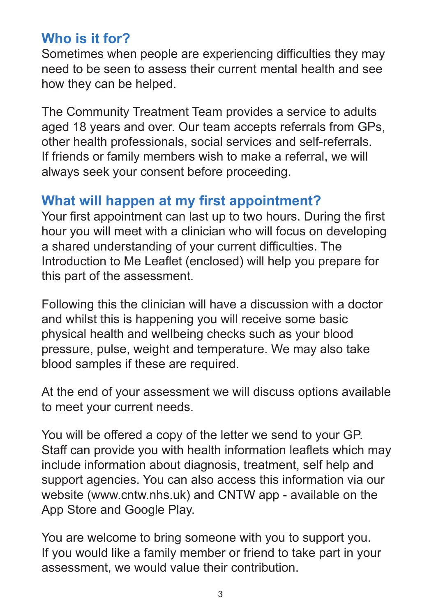## **Who is it for?**

Sometimes when people are experiencing difficulties they may need to be seen to assess their current mental health and see how they can be helped.

The Community Treatment Team provides a service to adults aged 18 years and over. Our team accepts referrals from GPs, other health professionals, social services and self-referrals. If friends or family members wish to make a referral, we will always seek your consent before proceeding.

## **What will happen at my first appointment?**

Your first appointment can last up to two hours. During the first hour you will meet with a clinician who will focus on developing a shared understanding of your current difficulties. The Introduction to Me Leaflet (enclosed) will help you prepare for this part of the assessment.

Following this the clinician will have a discussion with a doctor and whilst this is happening you will receive some basic physical health and wellbeing checks such as your blood pressure, pulse, weight and temperature. We may also take blood samples if these are required.

At the end of your assessment we will discuss options available to meet your current needs.

You will be offered a copy of the letter we send to your GP. Staff can provide you with health information leaflets which may include information about diagnosis, treatment, self help and support agencies. You can also access this information via our website (www.cntw.nhs.uk) and CNTW app - available on the App Store and Google Play.

You are welcome to bring someone with you to support you. If you would like a family member or friend to take part in your assessment, we would value their contribution.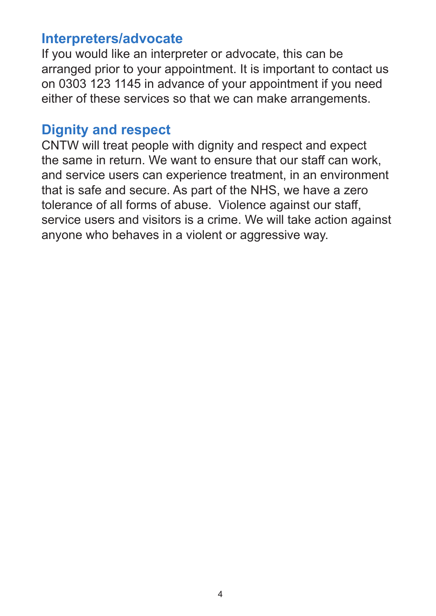#### **Interpreters/advocate**

If you would like an interpreter or advocate, this can be arranged prior to your appointment. It is important to contact us on 0303 123 1145 in advance of your appointment if you need either of these services so that we can make arrangements.

### **Dignity and respect**

CNTW will treat people with dignity and respect and expect the same in return. We want to ensure that our staff can work, and service users can experience treatment, in an environment that is safe and secure. As part of the NHS, we have a zero tolerance of all forms of abuse. Violence against our staff, service users and visitors is a crime. We will take action against anyone who behaves in a violent or aggressive way.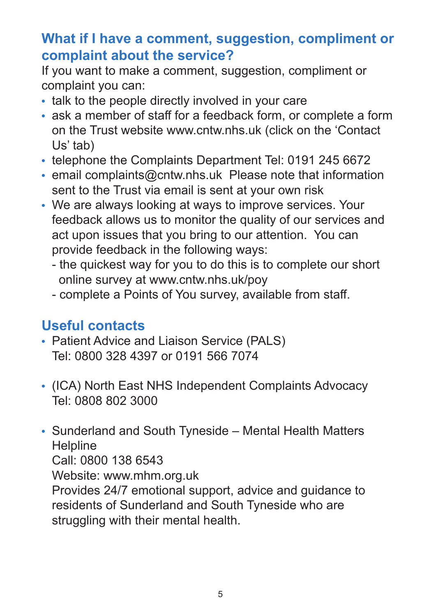# **What if I have a comment, suggestion, compliment or complaint about the service?**

If you want to make a comment, suggestion, compliment or complaint you can:

- **•** talk to the people directly involved in your care
- **•** ask a member of staff for a feedback form, or complete a form on the Trust website www.cntw.nhs.uk (click on the 'Contact Us' tab)
- **•** telephone the Complaints Department Tel: 0191 245 6672
- **•** email complaints@cntw.nhs.uk Please note that information sent to the Trust via email is sent at your own risk
- **•** We are always looking at ways to improve services. Your feedback allows us to monitor the quality of our services and act upon issues that you bring to our attention. You can provide feedback in the following ways:
	- the quickest way for you to do this is to complete our short online survey at www.cntw.nhs.uk/poy
	- complete a Points of You survey, available from staff.

# **Useful contacts**

- **•** Patient Advice and Liaison Service (PALS) Tel: 0800 328 4397 or 0191 566 7074
- **•** (ICA) North East NHS Independent Complaints Advocacy Tel: 0808 802 3000
- **•** Sunderland and South Tyneside Mental Health Matters **Helpline** Call: 0800 138 6543 Website: www.mhm.org.uk Provides 24/7 emotional support, advice and guidance to residents of Sunderland and South Tyneside who are struggling with their mental health.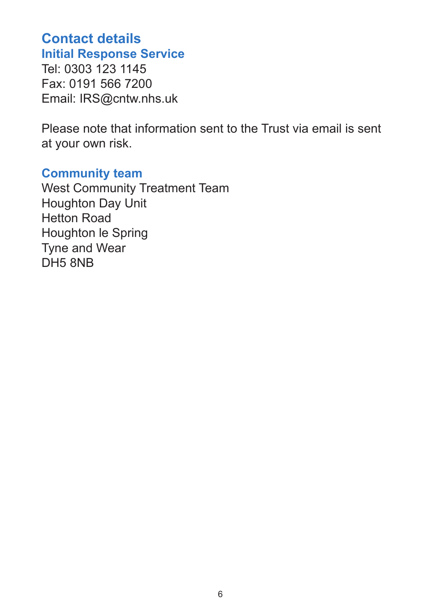#### **Contact details Initial Response Service**

Tel: 0303 123 1145 Fax: 0191 566 7200 Email: IRS@cntw.nhs.uk

Please note that information sent to the Trust via email is sent at your own risk.

#### **Community team**

West Community Treatment Team Houghton Day Unit Hetton Road Houghton le Spring Tyne and Wear DH5 8NB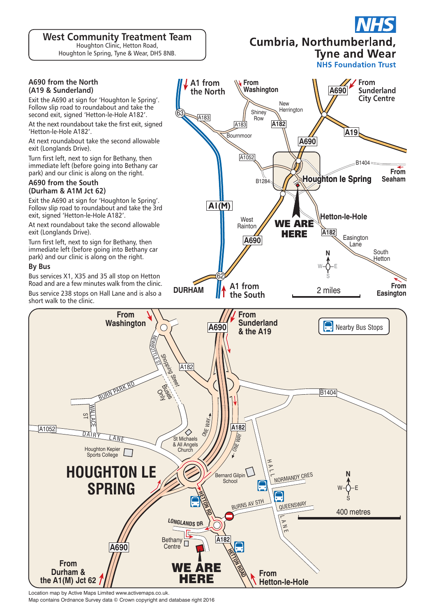**West Community Treatment Team** Houghton Clinic, Hetton Road,

Houghton le Spring, Tyne & Wear, DH5 8NB.

#### Cumbria, Northumberland,

**Tyne and Wear NHS Foundation Trust** 

#### **A690 from the North (A19 & Sunderland)**

Exit the A690 at sign for 'Houghton le Spring'. Follow slip road to roundabout and take the second exit, signed 'Hetton-le-Hole A182'.

At the next roundabout take the first exit, signed 'Hetton-le-Hole A182'.

At next roundabout take the second allowable exit (Longlands Drive).

Turn first left, next to sign for Bethany, then immediate left (before going into Bethany car park) and our clinic is along on the right.

#### **A690 from the South (Durham & A1M Jct 62)**

Exit the A690 at sign for 'Houghton le Spring'. Follow slip road to roundabout and take the 3rd exit, signed 'Hetton-le-Hole A182'.

At next roundabout take the second allowable exit (Longlands Drive).

Turn first left, next to sign for Bethany, then immediate left (before going into Bethany car park) and our clinic is along on the right.

#### **By Bus**

A1052

Bus services X1, X35 and 35 all stop on Hetton Road and are a few minutes walk from the clinic. Bus service 238 stops on Hall Lane and is also a short walk to the clinic.



Location map by Active Maps Limited www.activemaps.co.uk.

Map contains Ordnance Survey data © Crown copyright and database right 2016